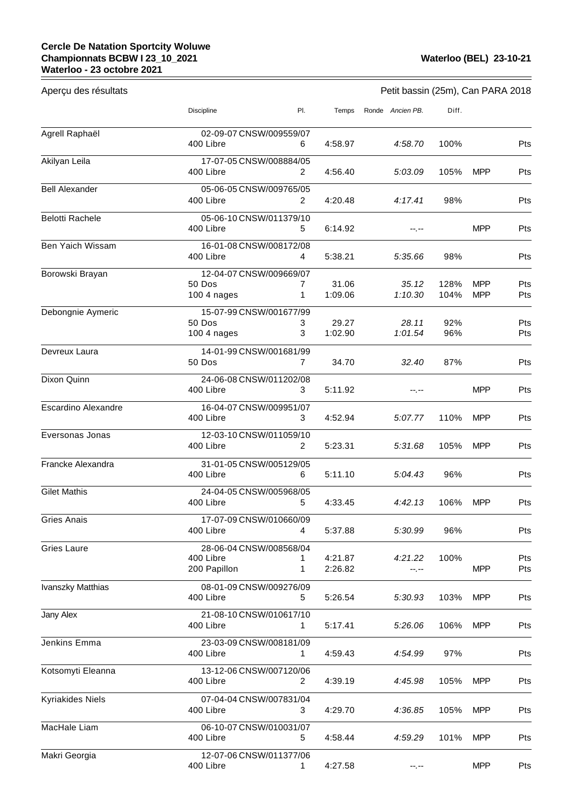<u> 1980 - Johann Barnett, fransk politik (</u>

| Aperçu des résultats       | Petit bassin (25m), Can PARA 2018      |                              |                  |                  |              |                          |            |  |
|----------------------------|----------------------------------------|------------------------------|------------------|------------------|--------------|--------------------------|------------|--|
|                            | Discipline                             | PI.                          | Temps            | Ronde Ancien PB. | Diff.        |                          |            |  |
| Agrell Raphaël             | 02-09-07 CNSW/009559/07<br>400 Libre   | 6                            | 4:58.97          | 4:58.70          | 100%         |                          | Pts        |  |
|                            |                                        |                              |                  |                  |              |                          |            |  |
| Akilyan Leila              | 17-07-05 CNSW/008884/05<br>400 Libre   | 2                            | 4:56.40          | 5:03.09          | 105%         | MPP                      | Pts        |  |
| <b>Bell Alexander</b>      | 05-06-05 CNSW/009765/05                |                              |                  |                  |              |                          |            |  |
|                            | 400 Libre                              | 2                            | 4:20.48          | 4:17.41          | 98%          |                          | Pts        |  |
| <b>Belotti Rachele</b>     | 05-06-10 CNSW/011379/10                |                              |                  |                  |              |                          |            |  |
|                            | 400 Libre                              | 5                            | 6:14.92          | --.--            |              | <b>MPP</b>               | Pts        |  |
| Ben Yaich Wissam           | 16-01-08 CNSW/008172/08<br>400 Libre   | 4                            | 5:38.21          | 5:35.66          | 98%          |                          | Pts        |  |
| Borowski Brayan            | 12-04-07 CNSW/009669/07                |                              |                  |                  |              |                          |            |  |
|                            | 50 Dos                                 | $\mathbf{7}$<br>$\mathbf{1}$ | 31.06<br>1:09.06 | 35.12<br>1:10.30 | 128%<br>104% | <b>MPP</b><br><b>MPP</b> | Pts<br>Pts |  |
|                            | 100 4 nages<br>15-07-99 CNSW/001677/99 |                              |                  |                  |              |                          |            |  |
| Debongnie Aymeric          | 50 Dos                                 | 3                            | 29.27            | 28.11            | 92%          |                          | Pts        |  |
|                            | 100 4 nages                            | 3                            | 1:02.90          | 1:01.54          | 96%          |                          | Pts        |  |
| Devreux Laura              | 14-01-99 CNSW/001681/99                |                              |                  |                  |              |                          |            |  |
|                            | 50 Dos                                 | 7                            | 34.70            | 32.40            | 87%          |                          | Pts        |  |
| Dixon Quinn                | 24-06-08 CNSW/011202/08                |                              |                  |                  |              |                          |            |  |
|                            | 400 Libre                              | 3                            | 5:11.92          | --.--            |              | <b>MPP</b>               | Pts        |  |
| <b>Escardino Alexandre</b> | 16-04-07 CNSW/009951/07<br>400 Libre   | 3                            | 4:52.94          | 5:07.77          | 110%         | <b>MPP</b>               | Pts        |  |
|                            |                                        |                              |                  |                  |              |                          |            |  |
| Eversonas Jonas            | 12-03-10 CNSW/011059/10<br>400 Libre   | 2                            | 5:23.31          | 5:31.68          | 105%         | <b>MPP</b>               | Pts        |  |
| Francke Alexandra          | 31-01-05 CNSW/005129/05                |                              |                  |                  |              |                          |            |  |
|                            | 400 Libre                              | 6                            | 5:11.10          | 5:04.43          | 96%          |                          | Pts        |  |
| <b>Gilet Mathis</b>        | 24-04-05 CNSW/005968/05                |                              |                  |                  |              |                          |            |  |
|                            | 400 Libre                              | 5                            | 4:33.45          | 4:42.13          | 106%         | <b>MPP</b>               | Pts        |  |
| Gries Anais                | 17-07-09 CNSW/010660/09<br>400 Libre   | 4                            | 5:37.88          | 5:30.99          | 96%          |                          | Pts        |  |
|                            |                                        |                              |                  |                  |              |                          |            |  |
| <b>Gries Laure</b>         | 28-06-04 CNSW/008568/04<br>400 Libre   |                              | 4:21.87          | 4:21.22          | 100%         |                          | Pts        |  |
|                            | 200 Papillon                           | 1                            | 2:26.82          | --.--            |              | <b>MPP</b>               | Pts        |  |
| Ivanszky Matthias          | 08-01-09 CNSW/009276/09                |                              |                  |                  |              |                          |            |  |
|                            | 400 Libre                              | 5.                           | 5:26.54          | 5:30.93          | 103%         | <b>MPP</b>               | Pts        |  |
| Jany Alex                  | 21-08-10 CNSW/010617/10                |                              |                  |                  |              |                          |            |  |
|                            | 400 Libre                              | 1.                           | 5:17.41          | 5:26.06          | 106%         | <b>MPP</b>               | Pts        |  |
| Jenkins Emma               | 23-03-09 CNSW/008181/09                |                              |                  |                  |              |                          |            |  |
|                            | 400 Libre                              | 1                            | 4:59.43          | 4:54.99          | 97%          |                          | Pts        |  |
| Kotsomyti Eleanna          | 13-12-06 CNSW/007120/06<br>400 Libre   | 2                            | 4:39.19          | 4:45.98          | 105%         | <b>MPP</b>               | Pts        |  |
| <b>Kyriakides Niels</b>    | 07-04-04 CNSW/007831/04                |                              |                  |                  |              |                          |            |  |
|                            | 400 Libre                              | 3                            | 4:29.70          | 4:36.85          | 105%         | <b>MPP</b>               | Pts        |  |
| MacHale Liam               | 06-10-07 CNSW/010031/07<br>400 Libre   |                              |                  |                  |              |                          |            |  |
|                            |                                        | 5                            | 4:58.44          | 4:59.29          | 101%         | <b>MPP</b>               | Pts        |  |
| Makri Georgia              | 12-07-06 CNSW/011377/06<br>400 Libre   | 1.                           | 4:27.58          | $-1. - -$        |              | <b>MPP</b>               | Pts        |  |